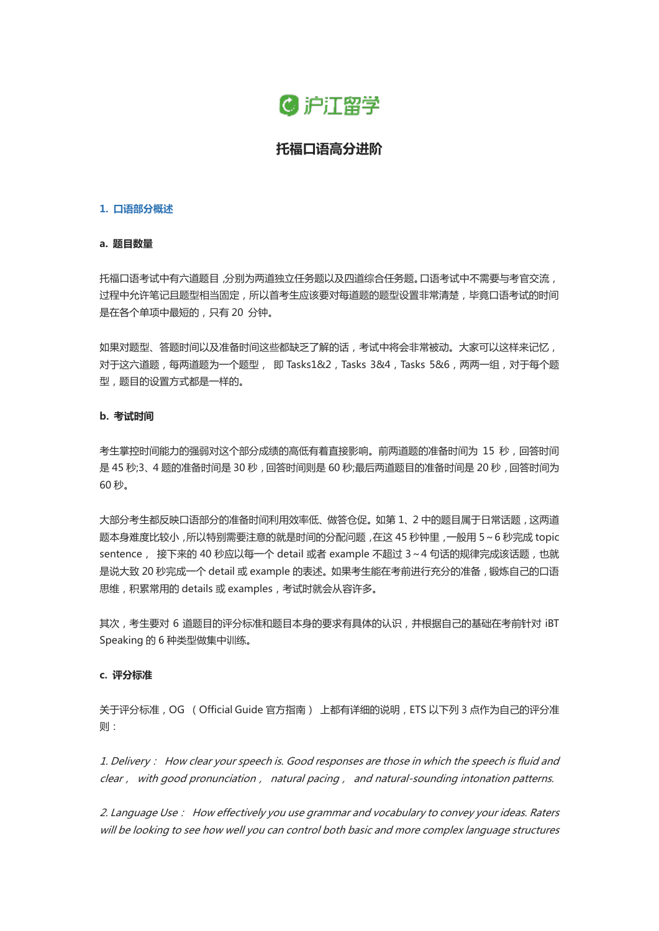

# **托福口语高分进阶**

#### **1. 口语部分概述**

## **a. 题目数量**

托福口语考试中有六道题目,分别为两道独立任务题以及四道综合任务题。口语考试中不需要与考官交流, 过程中允许笔记且题型相当固定,所以首考生应该要对每道题的题型设置非常清楚,毕竟口语考试的时间 是在各个单项中最短的,只有 20 分钟。

如果对题型、答题时间以及准备时间这些都缺乏了解的话,考试中将会非常被动。大家可以这样来记忆, 对于这六道题,每两道题为一个题型, 即 Tasks1&2, Tasks 3&4, Tasks 5&6, 两两一组, 对于每个题 型,题目的设置方式都是一样的。

## **b. 考试时间**

考生掌控时间能力的强弱对这个部分成绩的高低有着直接影响。前两道题的准备时间为 15 秒,回答时间 是 45 秒;3、4 题的准备时间是 30 秒, 回答时间则是 60 秒;最后两道题目的准备时间是 20 秒, 回答时间为 60 秒。

大部分考生都反映口语部分的准备时间利用效率低、做答仓促。如第 1、2 中的题目属于日常话题,这两道 题本身难度比较小,所以特别需要注意的就是时间的分配问题,在这 45 秒钟里,一般用 5~6 秒完成 topic sentence, 接下来的 40 秒应以每一个 detail 或者 example 不超过 3~4 句话的规律完成该话题, 也就 是说大致 20 秒完成一个 detail 或 example 的表述。如果考生能在考前进行充分的准备,锻炼自己的口语 思维,积累常用的 details 或 examples,考试时就会从容许多。

其次,考生要对 6 道题目的评分标准和题目本身的要求有具体的认识,并根据自己的基础在考前针对 iBT Speaking 的 6 种类型做集中训练。

## **c. 评分标准**

关于评分标准,OG (Official Guide 官方指南) 上都有详细的说明,ETS 以下列 3 点作为自己的评分准 则:

1. Delivery: How clear your speech is. Good responses are those in which the speech is fluid and clear, with good pronunciation, natural pacing, and natural-sounding intonation patterns.

2. Language Use: How effectively you use grammar and vocabulary to convey your ideas. Raters will be looking to see how well you can control both basic and more complex language structures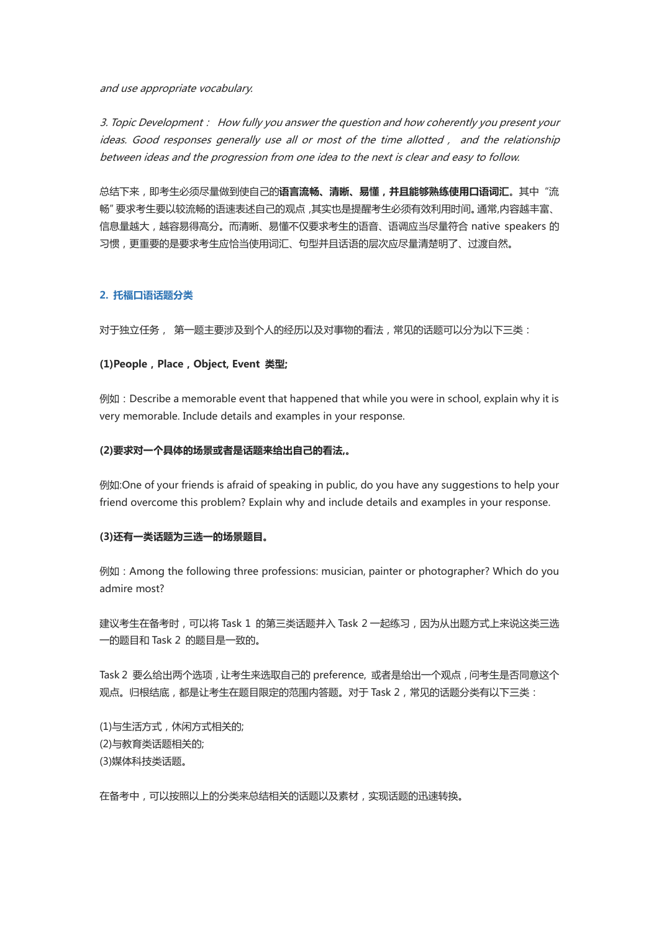and use appropriate vocabulary.

3. Topic Development: How fully you answer the question and how coherently you present your ideas. Good responses generally use all or most of the time allotted, and the relationship between ideas and the progression from one idea to the next is clear and easy to follow.

总结下来,即考生必须尽量做到使自己的**语言流畅、清晰、易懂,并且能够熟练使用口语词汇**。其中"流 畅"要求考生要以较流畅的语速表述自己的观点,其实也是提醒考生必须有效利用时间。通常,内容越丰富、 信息量越大,越容易得高分。而清晰、易懂不仅要求考生的语音、语调应当尽量符合 native speakers 的 习惯,更重要的是要求考生应恰当使用词汇、句型并且话语的层次应尽量清楚明了、过渡自然。

## **2. 托福口语话题分类**

对于独立任务, 第一题主要涉及到个人的经历以及对事物的看法,常见的话题可以分为以下三类:

#### **(1)People,Place,Object, Event 类型;**

例如:Describe a memorable event that happened that while you were in school, explain why it is very memorable. Include details and examples in your response.

#### **(2)要求对一个具体的场景或者是话题来给出自己的看法,。**

例如:One of your friends is afraid of speaking in public, do you have any suggestions to help your friend overcome this problem? Explain why and include details and examples in your response.

### **(3)还有一类话题为三选一的场景题目。**

例如:Among the following three professions: musician, painter or photographer? Which do you admire most?

建议考生在备考时,可以将 Task 1 的第三类话题并入 Task 2 一起练习,因为从出题方式上来说这类三选 一的题目和 Task 2 的题目是一致的。

Task 2 要么给出两个选项,让考生来选取自己的 preference, 或者是给出一个观点,问考生是否同意这个 观点。归根结底,都是让考生在题目限定的范围内答题。对于 Task 2,常见的话题分类有以下三类:

(1)与生活方式,休闲方式相关的; (2)与教育类话题相关的; (3)媒体科技类话题。

在备考中,可以按照以上的分类来总结相关的话题以及素材,实现话题的迅速转换。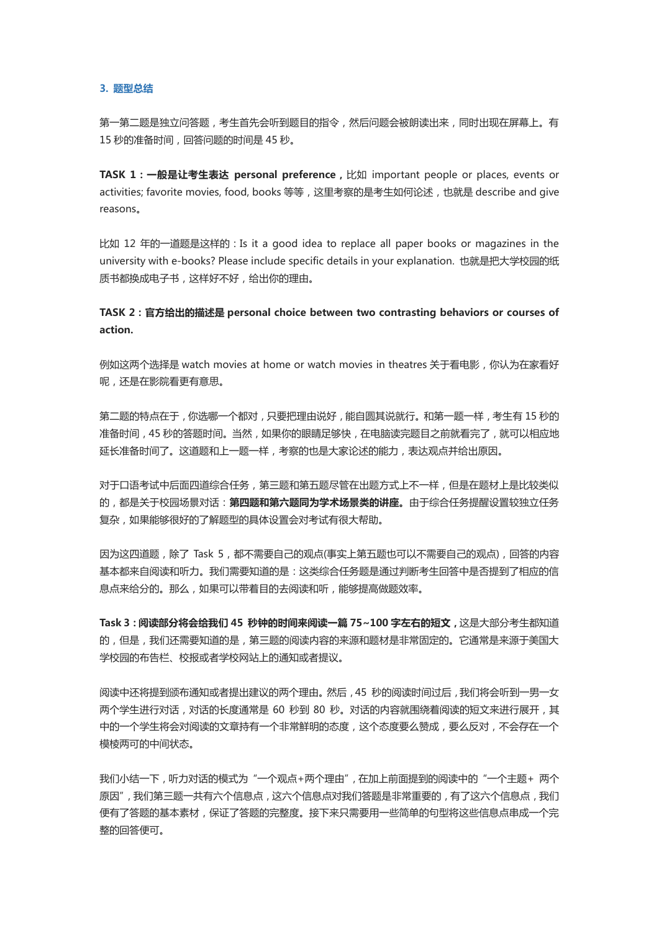**3. 题型总结**

第一第二题是独立问答题,考生首先会听到题目的指令,然后问题会被朗读出来,同时出现在屏幕上。有 15 秒的准备时间,回答问题的时间是 45 秒。

**TASK 1:一般是让考生表达 personal preference,**比如 important people or places, events or activities; favorite movies, food, books 等等,这里考察的是考生如何论述,也就是 describe and give reasons。

比如 12 年的一道题是这样的:Is it a good idea to replace all paper books or magazines in the university with e-books? Please include specific details in your explanation. 也就是把大学校园的纸 质书都换成电子书,这样好不好,给出你的理由。

**TASK 2:官方给出的描述是 personal choice between two contrasting behaviors or courses of action.** 

例如这两个选择是 watch movies at home or watch movies in theatres 关于看电影,你认为在家看好 呢,还是在影院看更有意思。

第二题的特点在于,你选哪一个都对,只要把理由说好,能自圆其说就行。和第一题一样,考生有 15 秒的 准备时间,45 秒的答题时间。当然,如果你的眼睛足够快,在电脑读完题目之前就看完了,就可以相应地 延长准备时间了。这道题和上一题一样,考察的也是大家论述的能力,表达观点并给出原因。

对于口语考试中后面四道综合任务,第三题和第五题尽管在出题方式上不一样,但是在题材上是比较类似 的,都是关于校园场景对话:**第四题和第六题同为学术场景类的讲座。**由于综合任务提醒设置较独立任务 复杂,如果能够很好的了解题型的具体设置会对考试有很大帮助。

因为这四道题,除了 Task 5, 都不需要自己的观点(事实上第五题也可以不需要自己的观点),回答的内容 基本都来自阅读和听力。我们需要知道的是:这类综合任务题是通过判断考生回答中是否提到了相应的信 息点来给分的。那么,如果可以带着目的去阅读和听,能够提高做题效率。

**Task 3:阅读部分将会给我们 45 秒钟的时间来阅读一篇 75~100 字左右的短文,**这是大部分考生都知道 的,但是,我们还需要知道的是,第三题的阅读内容的来源和题材是非常固定的。它通常是来源于美国大 学校园的布告栏、校报或者学校网站上的通知或者提议。

阅读中还将提到颁布通知或者提出建议的两个理由。然后,45 秒的阅读时间过后,我们将会听到一男一女 两个学生进行对话,对话的长度通常是 60 秒到 80 秒。对话的内容就围绕着阅读的短文来进行展开,其 中的一个学生将会对阅读的文章持有一个非常鲜明的态度,这个态度要么赞成,要么反对,不会存在一个 模棱两可的中间状态。

我们小结一下,听力对话的模式为"一个观点+两个理由",在加上前面提到的阅读中的"一个主题+ 两个 原因",我们第三题一共有六个信息点,这六个信息点对我们答题是非常重要的,有了这六个信息点,我们 便有了答题的基本素材,保证了答题的完整度。接下来只需要用一些简单的句型将这些信息点串成一个完 整的回答便可。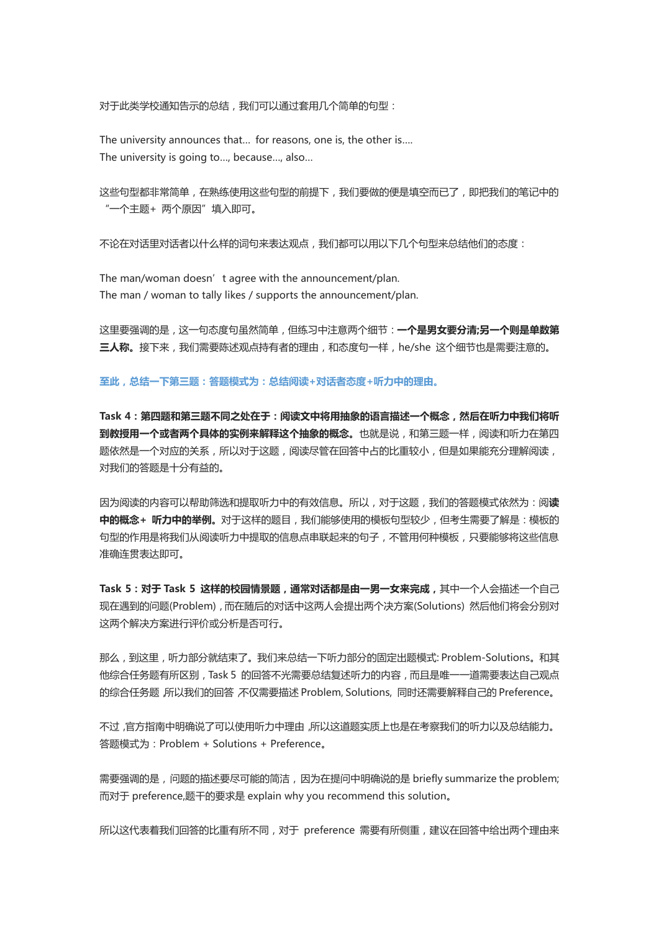对于此类学校通知告示的总结,我们可以通过套用几个简单的句型:

The university announces that… for reasons, one is, the other is…. The university is going to…, because…, also…

这些句型都非常简单,在熟练使用这些句型的前提下,我们要做的便是填空而已了,即把我们的笔记中的 "一个主题+ 两个原因"填入即可。

不论在对话里对话者以什么样的词句来表达观点,我们都可以用以下几个句型来总结他们的态度:

The man/woman doesn't agree with the announcement/plan. The man / woman to tally likes / supports the announcement/plan.

这里要强调的是,这一句态度句虽然简单,但练习中注意两个细节:**一个是男女要分清;另一个则是单数第 三人称。**接下来,我们需要陈述观点持有者的理由,和态度句一样,he/she 这个细节也是需要注意的。

**至此,总结一下第三题:答题模式为:总结阅读+对话者态度+听力中的理由。**

**Task 4:第四题和第三题不同之处在于:阅读文中将用抽象的语言描述一个概念,然后在听力中我们将听** 到教授用一个或者两个具体的实例来解释这个抽象的概念。也就是说,和第三题一样,阅读和听力在第四 题依然是一个对应的关系,所以对于这题,阅读尽管在回答中占的比重较小,但是如果能充分理解阅读, 对我们的答题是十分有益的。

因为阅读的内容可以帮助筛选和提取听力中的有效信息。所以,对于这题,我们的答题模式依然为:阅**读 中的概念+ 听力中的举例。**对于这样的题目,我们能够使用的模板句型较少,但考生需要了解是:模板的 句型的作用是将我们从阅读听力中提取的信息点串联起来的句子,不管用何种模板,只要能够将这些信息 准确连贯表达即可。

**Task 5:对于 Task 5 这样的校园情景题,通常对话都是由一男一女来完成,**其中一个人会描述一个自己 现在遇到的问题(Problem),而在随后的对话中这两人会提出两个决方案(Solutions) 然后他们将会分别对 这两个解决方案进行评价或分析是否可行。

那么,到这里,听力部分就结束了。我们来总结一下听力部分的固定出题模式: Problem-Solutions。和其 他综合任务题有所区别,Task 5 的回答不光需要总结复述听力的内容,而且是唯一一道需要表达自己观点 的综合任务题,所以我们的回答,不仅需要描述 Problem, Solutions, 同时还需要解释自己的 Preference。

不过,官方指南中明确说了可以使用听力中理由,所以这道题实质上也是在考察我们的听力以及总结能力。 答题模式为:Problem + Solutions + Preference。

需要强调的是,问题的描述要尽可能的简洁,因为在提问中明确说的是 briefly summarize the problem; 而对于 preference,题干的要求是 explain why you recommend this solution。

所以这代表着我们回答的比重有所不同,对于 preference 需要有所侧重,建议在回答中给出两个理由来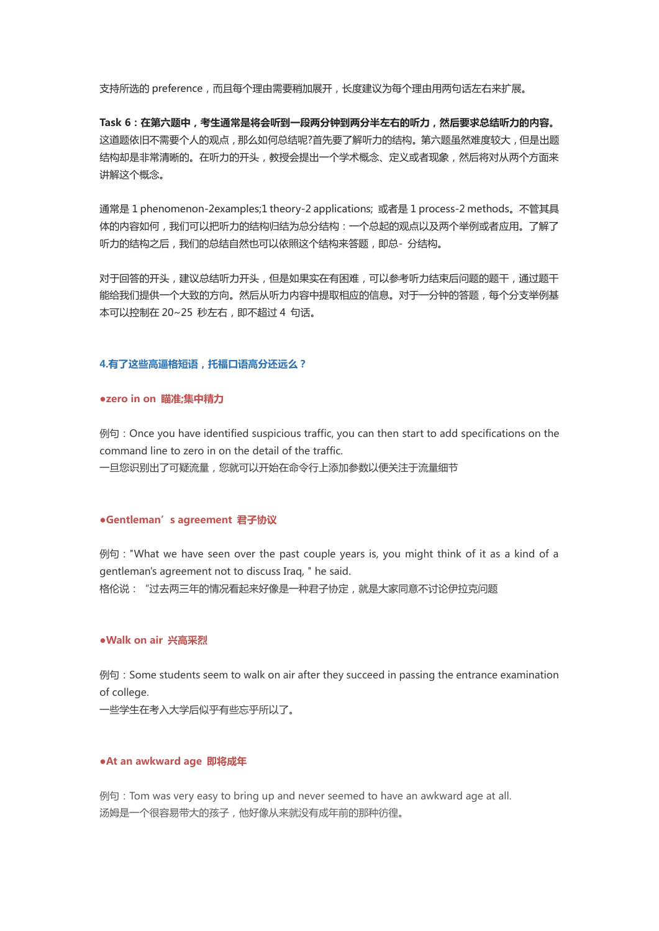支持所选的 preference,而且每个理由需要稍加展开,长度建议为每个理由用两句话左右来扩展。

**Task 6:在第六题中,考生通常是将会听到一段两分钟到两分半左右的听力,然后要求总结听力的内容。** 这道题依旧不需要个人的观点,那么如何总结呢?首先要了解听力的结构。第六题虽然难度较大,但是出题 结构却是非常清晰的。在听力的开头,教授会提出一个学术概念、定义或者现象,然后将对从两个方面来 讲解这个概念。

通常是 1 phenomenon-2examples;1 theory-2 applications; 或者是 1 process-2 methods。不管其具 体的内容如何,我们可以把听力的结构归结为总分结构:一个总起的观点以及两个举例或者应用。了解了 听力的结构之后,我们的总结自然也可以依照这个结构来答题,即总-分结构。

对于回答的开头,建议总结听力开头,但是如果实在有困难,可以参考听力结束后问题的题干,通过题干 能给我们提供一个大致的方向。然后从听力内容中提取相应的信息。对于一分钟的答题,每个分支举例基 本可以控制在 20~25 秒左右,即不超过 4 句话。

#### **4.有了这些高逼格短语,托福口语高分还远么?**

#### **●zero in on 瞄准;集中精力**

例句:Once you have identified suspicious traffic, you can then start to add specifications on the command line to zero in on the detail of the traffic.

一旦您识别出了可疑流量,您就可以开始在命令行上添加参数以便关注于流量细节

## **●Gentleman's agreement 君子协议**

例句:"What we have seen over the past couple years is, you might think of it as a kind of a gentleman's agreement not to discuss Iraq, " he said. 格伦说:"过去两三年的情况看起来好像是一种君子协定,就是大家同意不讨论伊拉克问题

#### **●Walk on air 兴高采烈**

例句:Some students seem to walk on air after they succeed in passing the entrance examination of college.

一些学生在考入大学后似乎有些忘乎所以了。

#### **●At an awkward age 即将成年**

例句:Tom was very easy to bring up and never seemed to have an awkward age at all. 汤姆是一个很容易带大的孩子,他好像从来就没有成年前的那种彷徨。